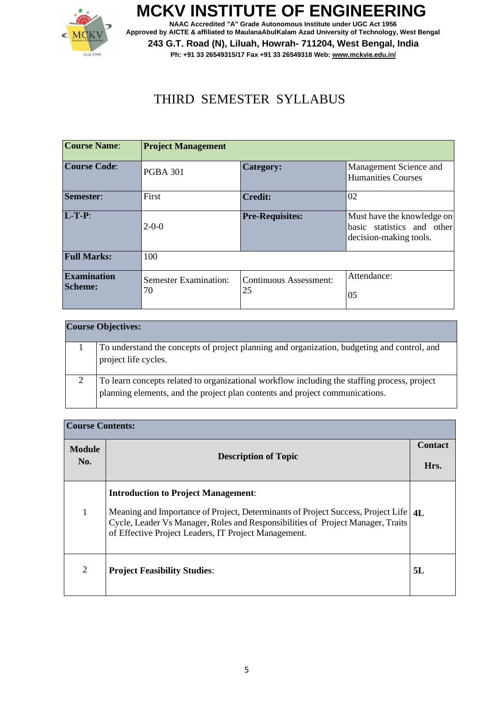

**MCKV INSTITUTE OF ENGINEERING NAAC Accredited "A" Grade Autonomous Institute under UGC Act 1956 Approved by AICTE & affiliated to MaulanaAbulKalam Azad University of Technology, West Bengal 243 G.T. Road (N), Liluah, Howrah- 711204, West Bengal, India Ph: +91 33 26549315/17 Fax +91 33 26549318 Web[: www.mckvie.edu.in/](http://www.mckvie.edu.in/)**

#### THIRD SEMESTER SYLLABUS

| <b>Course Name:</b>                  | <b>Project Management</b>          |                              |                                                                                    |
|--------------------------------------|------------------------------------|------------------------------|------------------------------------------------------------------------------------|
| <b>Course Code:</b>                  | <b>PGBA 301</b>                    | Category:                    | Management Science and<br><b>Humanities Courses</b>                                |
| Semester:                            | First                              | <b>Credit:</b>               | 02                                                                                 |
| $L-T-P$ :                            | $2-0-0$                            | <b>Pre-Requisites:</b>       | Must have the knowledge on<br>basic statistics and other<br>decision-making tools. |
| <b>Full Marks:</b>                   | 100                                |                              |                                                                                    |
| <b>Examination</b><br><b>Scheme:</b> | <b>Semester Examination:</b><br>70 | Continuous Assessment:<br>25 | Attendance:<br>05                                                                  |

|   | <b>Course Objectives:</b>                                                                                                                                                    |
|---|------------------------------------------------------------------------------------------------------------------------------------------------------------------------------|
|   | To understand the concepts of project planning and organization, budgeting and control, and<br>project life cycles.                                                          |
| ◠ | To learn concepts related to organizational workflow including the staffing process, project<br>planning elements, and the project plan contents and project communications. |

|               | <b>Course Contents:</b>                                                                                                                                                                                                                                                        |                |  |
|---------------|--------------------------------------------------------------------------------------------------------------------------------------------------------------------------------------------------------------------------------------------------------------------------------|----------------|--|
| <b>Module</b> | <b>Description of Topic</b>                                                                                                                                                                                                                                                    | <b>Contact</b> |  |
| No.           |                                                                                                                                                                                                                                                                                | Hrs.           |  |
| 1             | <b>Introduction to Project Management:</b><br>Meaning and Importance of Project, Determinants of Project Success, Project Life   4L<br>Cycle, Leader Vs Manager, Roles and Responsibilities of Project Manager, Traits<br>of Effective Project Leaders, IT Project Management. |                |  |
| 2             | <b>Project Feasibility Studies:</b>                                                                                                                                                                                                                                            | 5L             |  |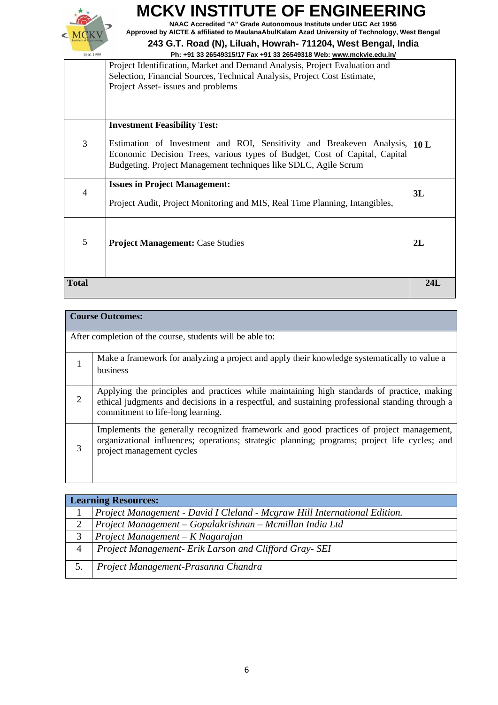

**NAAC Accredited "A" Grade Autonomous Institute under UGC Act 1956 Approved by AICTE & affiliated to MaulanaAbulKalam Azad University of Technology, West Bengal**

|                                                                                                                                                                                                                                                                        | 2L  |
|------------------------------------------------------------------------------------------------------------------------------------------------------------------------------------------------------------------------------------------------------------------------|-----|
| 5<br><b>Project Management: Case Studies</b>                                                                                                                                                                                                                           |     |
| <b>Issues in Project Management:</b><br>$\overline{4}$<br>Project Audit, Project Monitoring and MIS, Real Time Planning, Intangibles,                                                                                                                                  | 3L  |
| <b>Investment Feasibility Test:</b><br>3<br>Estimation of Investment and ROI, Sensitivity and Breakeven Analysis,<br>Economic Decision Trees, various types of Budget, Cost of Capital, Capital<br>Budgeting. Project Management techniques like SDLC, Agile Scrum     | 10L |
| FII. +31 33 20343313/17 FAX +31 33 20343310 WED. WWW.IIICNVIE.EQU.III/<br>Project Identification, Market and Demand Analysis, Project Evaluation and<br>Selection, Financial Sources, Technical Analysis, Project Cost Estimate,<br>Project Asset- issues and problems |     |

|   | <b>Course Outcomes:</b>                                                                                                                                                                                                            |  |
|---|------------------------------------------------------------------------------------------------------------------------------------------------------------------------------------------------------------------------------------|--|
|   | After completion of the course, students will be able to:                                                                                                                                                                          |  |
|   | Make a framework for analyzing a project and apply their knowledge systematically to value a<br>business                                                                                                                           |  |
| 2 | Applying the principles and practices while maintaining high standards of practice, making<br>ethical judgments and decisions in a respectful, and sustaining professional standing through a<br>commitment to life-long learning. |  |
| 3 | Implements the generally recognized framework and good practices of project management,<br>organizational influences; operations; strategic planning; programs; project life cycles; and<br>project management cycles              |  |

|   | <b>Learning Resources:</b>                                                |  |
|---|---------------------------------------------------------------------------|--|
|   | Project Management - David I Cleland - Mcgraw Hill International Edition. |  |
| 2 | Project Management - Gopalakrishnan - Mcmillan India Ltd                  |  |
|   | Project Management $-K$ Nagarajan                                         |  |
|   | Project Management- Erik Larson and Clifford Gray- SEI                    |  |
|   | Project Management-Prasanna Chandra                                       |  |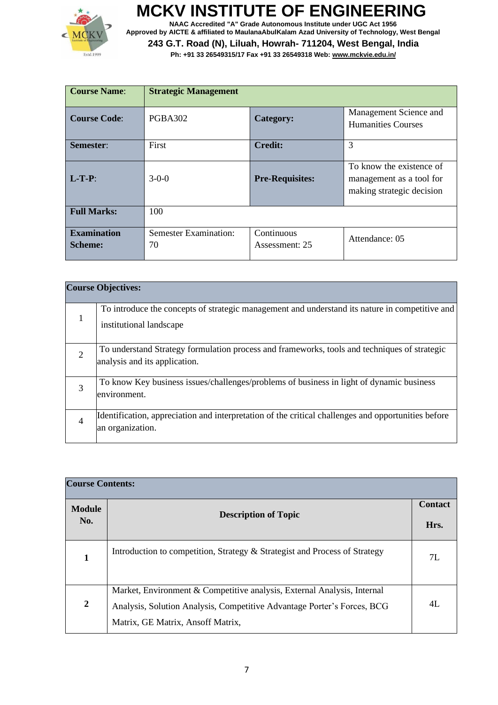

**NAAC Accredited "A" Grade Autonomous Institute under UGC Act 1956 Approved by AICTE & affiliated to MaulanaAbulKalam Azad University of Technology, West Bengal**

| <b>Course Name:</b>                  | <b>Strategic Management</b>        |                              |                                                                                   |
|--------------------------------------|------------------------------------|------------------------------|-----------------------------------------------------------------------------------|
| <b>Course Code:</b>                  | PGBA302                            | Category:                    | Management Science and<br><b>Humanities Courses</b>                               |
| Semester:                            | First                              | <b>Credit:</b>               | 3                                                                                 |
| $L-T-P$ :                            | $3-0-0$                            | <b>Pre-Requisites:</b>       | To know the existence of<br>management as a tool for<br>making strategic decision |
| <b>Full Marks:</b>                   | 100                                |                              |                                                                                   |
| <b>Examination</b><br><b>Scheme:</b> | <b>Semester Examination:</b><br>70 | Continuous<br>Assessment: 25 | Attendance: 05                                                                    |

|                | <b>Course Objectives:</b>                                                                                                     |
|----------------|-------------------------------------------------------------------------------------------------------------------------------|
|                | To introduce the concepts of strategic management and understand its nature in competitive and<br>institutional landscape     |
| $\overline{2}$ | To understand Strategy formulation process and frameworks, tools and techniques of strategic<br>analysis and its application. |
| 3              | To know Key business issues/challenges/problems of business in light of dynamic business<br>environment.                      |
|                | Identification, appreciation and interpretation of the critical challenges and opportunities before<br>an organization.       |

| <b>Course Contents:</b> |                                                                                                                                                                                         |                        |
|-------------------------|-----------------------------------------------------------------------------------------------------------------------------------------------------------------------------------------|------------------------|
| <b>Module</b><br>No.    | <b>Description of Topic</b>                                                                                                                                                             | <b>Contact</b><br>Hrs. |
| 1                       | Introduction to competition, Strategy & Strategist and Process of Strategy                                                                                                              | 7I.                    |
| $\mathbf{2}$            | Market, Environment & Competitive analysis, External Analysis, Internal<br>Analysis, Solution Analysis, Competitive Advantage Porter's Forces, BCG<br>Matrix, GE Matrix, Ansoff Matrix, | 4L                     |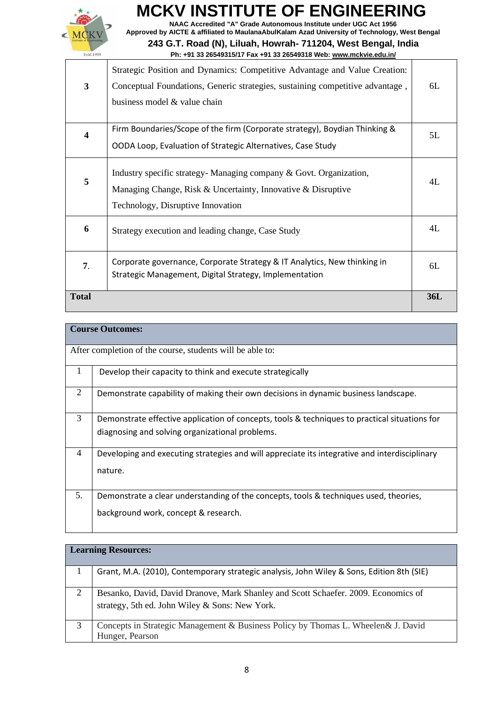

**NAAC Accredited "A" Grade Autonomous Institute under UGC Act 1956 Approved by AICTE & affiliated to MaulanaAbulKalam Azad University of Technology, West Bengal**

| $\mathbf{3}$ | Strategic Position and Dynamics: Competitive Advantage and Value Creation:<br>Conceptual Foundations, Generic strategies, sustaining competitive advantage,<br>business model & value chain | 6L         |
|--------------|---------------------------------------------------------------------------------------------------------------------------------------------------------------------------------------------|------------|
| 4            | Firm Boundaries/Scope of the firm (Corporate strategy), Boydian Thinking &<br>OODA Loop, Evaluation of Strategic Alternatives, Case Study                                                   | 5L         |
| 5            | Industry specific strategy- Managing company & Govt. Organization,<br>Managing Change, Risk & Uncertainty, Innovative & Disruptive<br>Technology, Disruptive Innovation                     | 4L         |
| 6            | Strategy execution and leading change, Case Study                                                                                                                                           | 4L         |
| 7.           | Corporate governance, Corporate Strategy & IT Analytics, New thinking in<br>Strategic Management, Digital Strategy, Implementation                                                          | 6L         |
| <b>Total</b> |                                                                                                                                                                                             | <b>36L</b> |

|                | <b>Course Outcomes:</b>                                                                       |  |
|----------------|-----------------------------------------------------------------------------------------------|--|
|                | After completion of the course, students will be able to:                                     |  |
| $\mathbf{1}$   | Develop their capacity to think and execute strategically                                     |  |
| 2              | Demonstrate capability of making their own decisions in dynamic business landscape.           |  |
| 3              | Demonstrate effective application of concepts, tools & techniques to practical situations for |  |
|                | diagnosing and solving organizational problems.                                               |  |
| $\overline{4}$ | Developing and executing strategies and will appreciate its integrative and interdisciplinary |  |
|                | nature.                                                                                       |  |
|                |                                                                                               |  |
| 5.             | Demonstrate a clear understanding of the concepts, tools & techniques used, theories,         |  |
|                | background work, concept & research.                                                          |  |

|   | <b>Learning Resources:</b>                                                                                                           |
|---|--------------------------------------------------------------------------------------------------------------------------------------|
|   | Grant, M.A. (2010), Contemporary strategic analysis, John Wiley & Sons, Edition 8th (SIE)                                            |
| 2 | Besanko, David, David Dranove, Mark Shanley and Scott Schaefer. 2009. Economics of<br>strategy, 5th ed. John Wiley & Sons: New York. |
| 3 | Concepts in Strategic Management & Business Policy by Thomas L. Wheelen & J. David<br>Hunger, Pearson                                |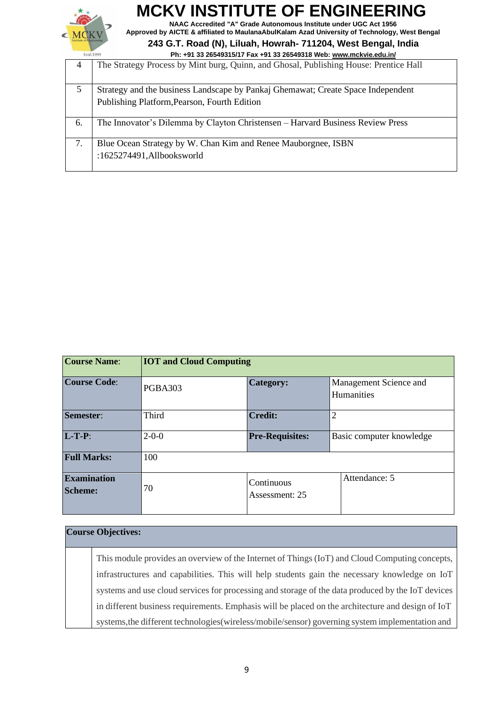

**NAAC Accredited "A" Grade Autonomous Institute under UGC Act 1956 Approved by AICTE & affiliated to MaulanaAbulKalam Azad University of Technology, West Bengal**

#### **243 G.T. Road (N), Liluah, Howrah- 711204, West Bengal, India Ph: +91 33 26549315/17 Fax +91 33 26549318 Web[: www.mckvie.edu.in/](http://www.mckvie.edu.in/)**

|                | <b>FII. +31 33 ZUJ43313111 FAX +31 33 ZUJ43310 WED. WWW.IIIUNVIE.EQU.IIII</b>                                                    |
|----------------|----------------------------------------------------------------------------------------------------------------------------------|
| $\overline{4}$ | The Strategy Process by Mint burg, Quinn, and Ghosal, Publishing House: Prentice Hall                                            |
| 5              | Strategy and the business Landscape by Pankaj Ghemawat; Create Space Independent<br>Publishing Platform, Pearson, Fourth Edition |
| 6.             | The Innovator's Dilemma by Clayton Christensen – Harvard Business Review Press                                                   |
| 7.             | Blue Ocean Strategy by W. Chan Kim and Renee Mauborgnee, ISBN<br>:1625274491,Allbooksworld                                       |

| <b>Course Name:</b>                  | <b>IOT and Cloud Computing</b>        |                              |                                             |
|--------------------------------------|---------------------------------------|------------------------------|---------------------------------------------|
| <b>Course Code:</b>                  | <b>PGBA303</b>                        | <b>Category:</b>             | Management Science and<br><b>Humanities</b> |
| Semester:                            | Third                                 | <b>Credit:</b>               | $\overline{2}$                              |
| $L-T-P$ :                            | <b>Pre-Requisites:</b><br>$2 - 0 - 0$ |                              | Basic computer knowledge                    |
| <b>Full Marks:</b>                   | 100                                   |                              |                                             |
| <b>Examination</b><br><b>Scheme:</b> | 70                                    | Continuous<br>Assessment: 25 | Attendance: 5                               |

#### **Course Objectives:**

This module provides an overview of the Internet of Things (IoT) and Cloud Computing concepts, infrastructures and capabilities. This will help students gain the necessary knowledge on IoT systems and use cloud services for processing and storage of the data produced by the IoT devices in different business requirements. Emphasis will be placed on the architecture and design of IoT systems,the different technologies(wireless/mobile/sensor) governing system implementation and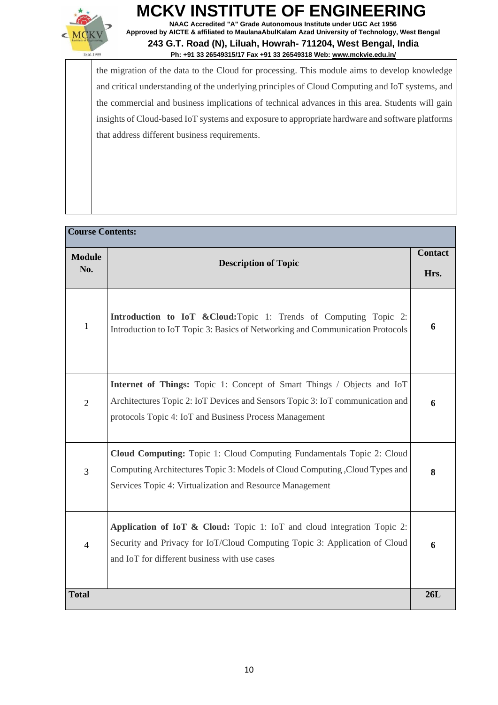

**NAAC Accredited "A" Grade Autonomous Institute under UGC Act 1956 Approved by AICTE & affiliated to MaulanaAbulKalam Azad University of Technology, West Bengal 243 G.T. Road (N), Liluah, Howrah- 711204, West Bengal, India**

#### **Ph: +91 33 26549315/17 Fax +91 33 26549318 Web[: www.mckvie.edu.in/](http://www.mckvie.edu.in/)**

the migration of the data to the Cloud for processing. This module aims to develop knowledge and critical understanding of the underlying principles of Cloud Computing and IoT systems, and the commercial and business implications of technical advances in this area. Students will gain insights of Cloud-based IoT systems and exposure to appropriate hardware and software platforms that address different business requirements.

| <b>Course Contents:</b> |                                                                                                                                                                                                                   |                        |
|-------------------------|-------------------------------------------------------------------------------------------------------------------------------------------------------------------------------------------------------------------|------------------------|
| <b>Module</b><br>No.    | <b>Description of Topic</b>                                                                                                                                                                                       | <b>Contact</b><br>Hrs. |
| $\mathbf{1}$            | <b>Introduction to IoT &amp; Cloud:</b> Topic 1: Trends of Computing Topic 2:<br>Introduction to IoT Topic 3: Basics of Networking and Communication Protocols                                                    | 6                      |
| $\overline{2}$          | Internet of Things: Topic 1: Concept of Smart Things / Objects and IoT<br>Architectures Topic 2: IoT Devices and Sensors Topic 3: IoT communication and<br>protocols Topic 4: IoT and Business Process Management | 6                      |
| 3                       | Cloud Computing: Topic 1: Cloud Computing Fundamentals Topic 2: Cloud<br>Computing Architectures Topic 3: Models of Cloud Computing , Cloud Types and<br>Services Topic 4: Virtualization and Resource Management | 8                      |
| $\overline{4}$          | Application of IoT & Cloud: Topic 1: IoT and cloud integration Topic 2:<br>Security and Privacy for IoT/Cloud Computing Topic 3: Application of Cloud<br>and IoT for different business with use cases            | 6                      |
| <b>Total</b>            |                                                                                                                                                                                                                   | 26L                    |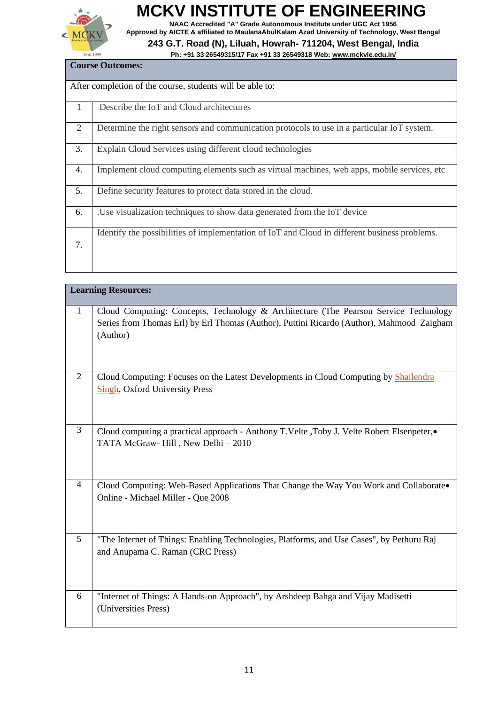

**NAAC Accredited "A" Grade Autonomous Institute under UGC Act 1956 Approved by AICTE & affiliated to MaulanaAbulKalam Azad University of Technology, West Bengal**

| <b>Course Outcomes:</b>                                                                       |  |  |
|-----------------------------------------------------------------------------------------------|--|--|
| After completion of the course, students will be able to:                                     |  |  |
| Describe the IoT and Cloud architectures                                                      |  |  |
| Determine the right sensors and communication protocols to use in a particular IoT system.    |  |  |
| Explain Cloud Services using different cloud technologies                                     |  |  |
| Implement cloud computing elements such as virtual machines, web apps, mobile services, etc.  |  |  |
| Define security features to protect data stored in the cloud.                                 |  |  |
| .Use visualization techniques to show data generated from the IoT device                      |  |  |
| Identify the possibilities of implementation of IoT and Cloud in different business problems. |  |  |
|                                                                                               |  |  |
|                                                                                               |  |  |

|                | <b>Learning Resources:</b>                                                                                                                                                                    |
|----------------|-----------------------------------------------------------------------------------------------------------------------------------------------------------------------------------------------|
| $\mathbf{1}$   | Cloud Computing: Concepts, Technology & Architecture (The Pearson Service Technology<br>Series from Thomas Erl) by Erl Thomas (Author), Puttini Ricardo (Author), Mahmood Zaigham<br>(Author) |
| $\overline{2}$ | Cloud Computing: Focuses on the Latest Developments in Cloud Computing by Shailendra<br><b>Singh, Oxford University Press</b>                                                                 |
| 3              | Cloud computing a practical approach - Anthony T.Velte ,Toby J. Velte Robert Elsenpeter,•<br>TATA McGraw-Hill, New Delhi-2010                                                                 |
| 4              | Cloud Computing: Web-Based Applications That Change the Way You Work and Collaborate.<br>Online - Michael Miller - Que 2008                                                                   |
| 5              | "The Internet of Things: Enabling Technologies, Platforms, and Use Cases", by Pethuru Raj<br>and Anupama C. Raman (CRC Press)                                                                 |
| 6              | "Internet of Things: A Hands-on Approach", by Arshdeep Bahga and Vijay Madisetti<br>(Universities Press)                                                                                      |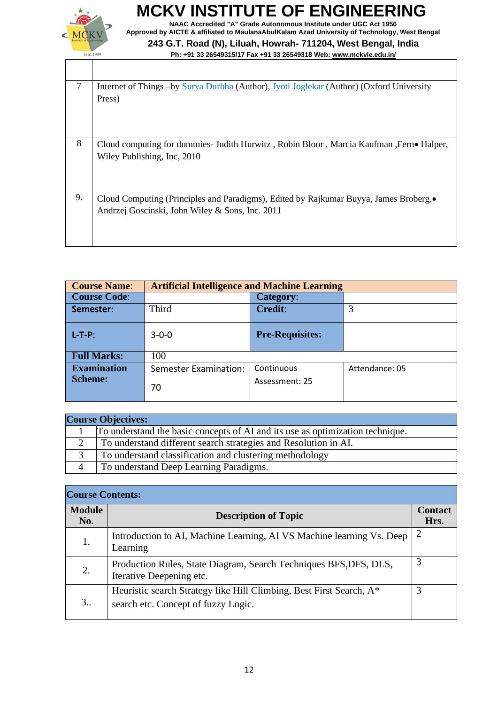

**NAAC Accredited "A" Grade Autonomous Institute under UGC Act 1956 Approved by AICTE & affiliated to MaulanaAbulKalam Azad University of Technology, West Bengal**

| $\tau$ | Internet of Things -by Surya Durbha (Author), Jyoti Joglekar (Author) (Oxford University<br>Press)                                      |
|--------|-----------------------------------------------------------------------------------------------------------------------------------------|
| 8      | Cloud computing for dummies- Judith Hurwitz, Robin Bloor, Marcia Kaufman, Fern• Halper,<br>Wiley Publishing, Inc, 2010                  |
| 9.     | Cloud Computing (Principles and Paradigms), Edited by Rajkumar Buyya, James Broberg,<br>Andrzej Goscinski, John Wiley & Sons, Inc. 2011 |

| <b>Course Name:</b> | <b>Artificial Intelligence and Machine Learning</b> |                        |                |
|---------------------|-----------------------------------------------------|------------------------|----------------|
| <b>Course Code:</b> |                                                     | <b>Category:</b>       |                |
| Semester:           | Third                                               | <b>Credit:</b>         |                |
| $L-T-P$ :           | $3 - 0 - 0$                                         | <b>Pre-Requisites:</b> |                |
| <b>Full Marks:</b>  | 100                                                 |                        |                |
| <b>Examination</b>  | <b>Semester Examination:</b>                        | Continuous             | Attendance: 05 |
| <b>Scheme:</b>      | 70                                                  | Assessment: 25         |                |

| <b>Course Objectives:</b> |                                                                               |  |
|---------------------------|-------------------------------------------------------------------------------|--|
|                           | To understand the basic concepts of AI and its use as optimization technique. |  |
| $\sim$                    | To understand different search strategies and Resolution in AI.               |  |
|                           | To understand classification and clustering methodology                       |  |
|                           | To understand Deep Learning Paradigms.                                        |  |

| <b>Course Contents:</b> |                                                                                                            |                        |
|-------------------------|------------------------------------------------------------------------------------------------------------|------------------------|
| <b>Module</b><br>No.    | <b>Description of Topic</b>                                                                                | <b>Contact</b><br>Hrs. |
| 1.                      | Introduction to AI, Machine Learning, AI VS Machine learning Vs. Deep<br>Learning                          | 2                      |
| 2.                      | Production Rules, State Diagram, Search Techniques BFS, DFS, DLS,<br>Iterative Deepening etc.              | 3                      |
| 3                       | Heuristic search Strategy like Hill Climbing, Best First Search, A*<br>search etc. Concept of fuzzy Logic. | 3                      |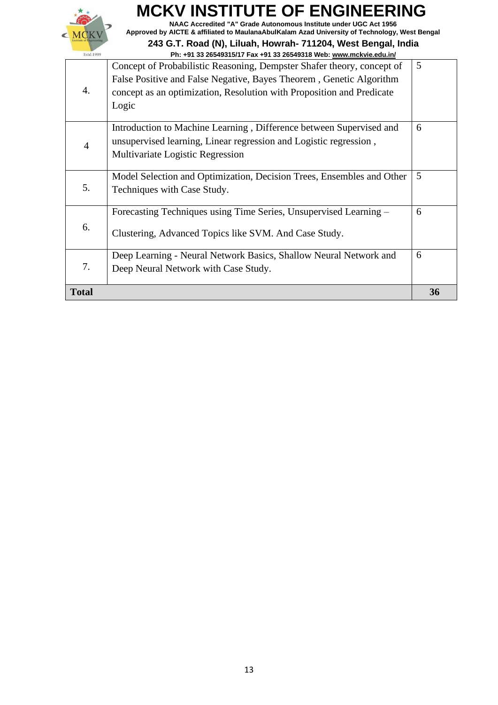

**NAAC Accredited "A" Grade Autonomous Institute under UGC Act 1956 Approved by AICTE & affiliated to MaulanaAbulKalam Azad University of Technology, West Bengal**

| <b>Total</b> |                                                                                                                                                                              | 36 |
|--------------|------------------------------------------------------------------------------------------------------------------------------------------------------------------------------|----|
| 7.           | Deep Neural Network with Case Study.                                                                                                                                         |    |
|              | Deep Learning - Neural Network Basics, Shallow Neural Network and                                                                                                            | 6  |
| 6.           | Clustering, Advanced Topics like SVM. And Case Study.                                                                                                                        |    |
|              | Forecasting Techniques using Time Series, Unsupervised Learning –                                                                                                            | 6  |
| 5.           | Model Selection and Optimization, Decision Trees, Ensembles and Other<br>Techniques with Case Study.                                                                         | 5  |
| 4            | Introduction to Machine Learning, Difference between Supervised and<br>unsupervised learning, Linear regression and Logistic regression,<br>Multivariate Logistic Regression | 6  |
| 4.           | False Positive and False Negative, Bayes Theorem, Genetic Algorithm<br>concept as an optimization, Resolution with Proposition and Predicate<br>Logic                        |    |
|              | Concept of Probabilistic Reasoning, Dempster Shafer theory, concept of                                                                                                       | 5  |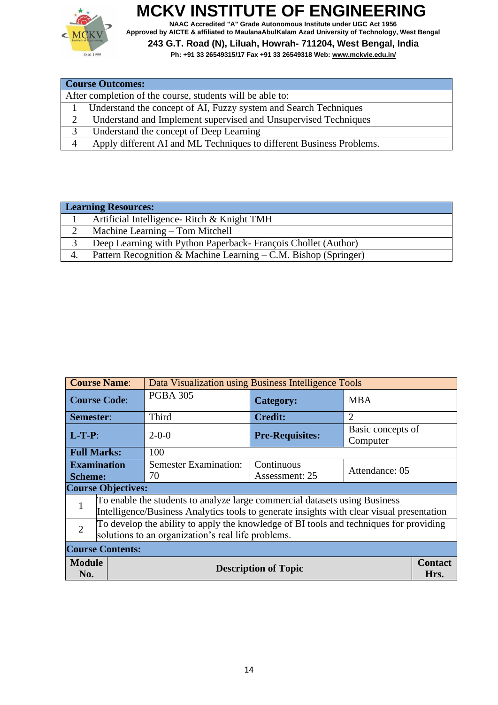

**NAAC Accredited "A" Grade Autonomous Institute under UGC Act 1956 Approved by AICTE & affiliated to MaulanaAbulKalam Azad University of Technology, West Bengal**

|   | <b>Course Outcomes:</b>                                              |  |  |
|---|----------------------------------------------------------------------|--|--|
|   | After completion of the course, students will be able to:            |  |  |
|   | Understand the concept of AI, Fuzzy system and Search Techniques     |  |  |
|   | Understand and Implement supervised and Unsupervised Techniques      |  |  |
| 3 | Understand the concept of Deep Learning                              |  |  |
|   | Apply different AI and ML Techniques to different Business Problems. |  |  |

|          | <b>Learning Resources:</b>                                       |  |
|----------|------------------------------------------------------------------|--|
|          | Artificial Intelligence- Ritch & Knight TMH                      |  |
| $\gamma$ | Machine Learning – Tom Mitchell                                  |  |
|          | Deep Learning with Python Paperback - François Chollet (Author)  |  |
|          | Pattern Recognition & Machine Learning $-C.M.$ Bishop (Springer) |  |

|                                                                                                                                                                              | <b>Course Name:</b><br>Data Visualization using Business Intelligence Tools |                                    |                              |                               |  |
|------------------------------------------------------------------------------------------------------------------------------------------------------------------------------|-----------------------------------------------------------------------------|------------------------------------|------------------------------|-------------------------------|--|
| <b>Course Code:</b>                                                                                                                                                          |                                                                             | <b>PGBA 305</b>                    | <b>Category:</b>             | <b>MBA</b>                    |  |
| <b>Semester:</b>                                                                                                                                                             |                                                                             | Third                              | <b>Credit:</b>               | $\overline{2}$                |  |
| $L-T-P$ :                                                                                                                                                                    |                                                                             | $2 - 0 - 0$                        | <b>Pre-Requisites:</b>       | Basic concepts of<br>Computer |  |
|                                                                                                                                                                              | <b>Full Marks:</b>                                                          | 100                                |                              |                               |  |
| <b>Examination</b><br><b>Scheme:</b>                                                                                                                                         |                                                                             | <b>Semester Examination:</b><br>70 | Continuous<br>Assessment: 25 | Attendance: 05                |  |
| <b>Course Objectives:</b>                                                                                                                                                    |                                                                             |                                    |                              |                               |  |
| To enable the students to analyze large commercial datasets using Business<br>1<br>Intelligence/Business Analytics tools to generate insights with clear visual presentation |                                                                             |                                    |                              |                               |  |
| To develop the ability to apply the knowledge of BI tools and techniques for providing<br>$\overline{2}$<br>solutions to an organization's real life problems.               |                                                                             |                                    |                              |                               |  |
| <b>Course Contents:</b>                                                                                                                                                      |                                                                             |                                    |                              |                               |  |
| <b>Module</b><br><b>Description of Topic</b><br>No.                                                                                                                          |                                                                             |                                    |                              | <b>Contact</b><br>Hrs.        |  |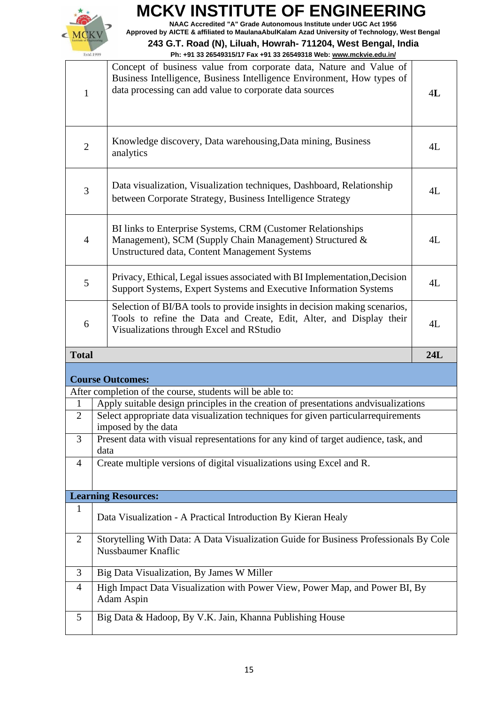

**NAAC Accredited "A" Grade Autonomous Institute under UGC Act 1956 Approved by AICTE & affiliated to MaulanaAbulKalam Azad University of Technology, West Bengal**

| $\mathbf{1}$                  | Concept of business value from corporate data, Nature and Value of<br>Business Intelligence, Business Intelligence Environment, How types of<br>data processing can add value to corporate data sources | 4L  |
|-------------------------------|---------------------------------------------------------------------------------------------------------------------------------------------------------------------------------------------------------|-----|
| $\mathbf{2}$                  | Knowledge discovery, Data warehousing, Data mining, Business<br>analytics                                                                                                                               | 4L  |
| 3                             | Data visualization, Visualization techniques, Dashboard, Relationship<br>between Corporate Strategy, Business Intelligence Strategy                                                                     | 4L  |
| $\overline{4}$                | BI links to Enterprise Systems, CRM (Customer Relationships<br>Management), SCM (Supply Chain Management) Structured &<br>Unstructured data, Content Management Systems                                 | 4L  |
| 5                             | Privacy, Ethical, Legal issues associated with BI Implementation, Decision<br>Support Systems, Expert Systems and Executive Information Systems                                                         | 4L  |
| 6                             | Selection of BI/BA tools to provide insights in decision making scenarios,<br>Tools to refine the Data and Create, Edit, Alter, and Display their<br>Visualizations through Excel and RStudio           | 4L  |
|                               |                                                                                                                                                                                                         |     |
| <b>Total</b>                  |                                                                                                                                                                                                         | 24L |
|                               |                                                                                                                                                                                                         |     |
|                               | <b>Course Outcomes:</b>                                                                                                                                                                                 |     |
|                               | After completion of the course, students will be able to:                                                                                                                                               |     |
| $\mathbf 1$<br>$\overline{2}$ | Apply suitable design principles in the creation of presentations and visualizations<br>Select appropriate data visualization techniques for given particularrequirements<br>imposed by the data        |     |
| 3                             | Present data with visual representations for any kind of target audience, task, and<br>data                                                                                                             |     |
| 4                             | Create multiple versions of digital visualizations using Excel and R.                                                                                                                                   |     |
|                               | <b>Learning Resources:</b>                                                                                                                                                                              |     |
| $\mathbf 1$                   | Data Visualization - A Practical Introduction By Kieran Healy                                                                                                                                           |     |
| $\overline{2}$                | Storytelling With Data: A Data Visualization Guide for Business Professionals By Cole<br>Nussbaumer Knaflic                                                                                             |     |
| 3                             | Big Data Visualization, By James W Miller                                                                                                                                                               |     |
| $\overline{4}$                | High Impact Data Visualization with Power View, Power Map, and Power BI, By<br>Adam Aspin                                                                                                               |     |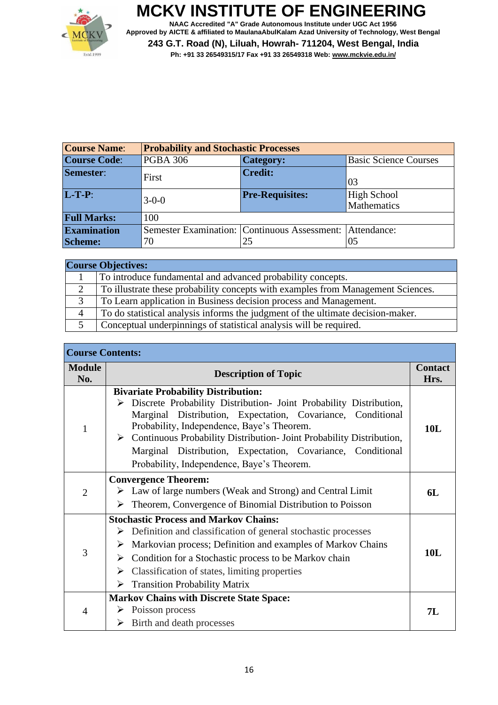

**NAAC Accredited "A" Grade Autonomous Institute under UGC Act 1956 Approved by AICTE & affiliated to MaulanaAbulKalam Azad University of Technology, West Bengal 243 G.T. Road (N), Liluah, Howrah- 711204, West Bengal, India Ph: +91 33 26549315/17 Fax +91 33 26549318 Web[: www.mckvie.edu.in/](http://www.mckvie.edu.in/)**

| <b>Course Name:</b> | <b>Probability and Stochastic Processes</b> |                                              |                                   |
|---------------------|---------------------------------------------|----------------------------------------------|-----------------------------------|
| <b>Course Code:</b> | <b>PGBA 306</b>                             | <b>Category:</b>                             | <b>Basic Science Courses</b>      |
| Semester:           | First                                       | <b>Credit:</b>                               | 03                                |
| $L-T-P$ :           | $3 - 0 - 0$                                 | <b>Pre-Requisites:</b>                       | <b>High School</b><br>Mathematics |
| <b>Full Marks:</b>  | 100                                         |                                              |                                   |
| <b>Examination</b>  |                                             | Semester Examination: Continuous Assessment: | Attendance:                       |
| <b>Scheme:</b>      | 70                                          | 25                                           | 05                                |

|   | <b>Course Objectives:</b>                                                        |
|---|----------------------------------------------------------------------------------|
|   | To introduce fundamental and advanced probability concepts.                      |
| 2 | To illustrate these probability concepts with examples from Management Sciences. |
|   | To Learn application in Business decision process and Management.                |
| 4 | To do statistical analysis informs the judgment of the ultimate decision-maker.  |
|   | Conceptual underpinnings of statistical analysis will be required.               |

| <b>Course Contents:</b> |                                                                                                                                                                                                                                                                                                                                                                                                                      |            |  |
|-------------------------|----------------------------------------------------------------------------------------------------------------------------------------------------------------------------------------------------------------------------------------------------------------------------------------------------------------------------------------------------------------------------------------------------------------------|------------|--|
| <b>Module</b><br>No.    | <b>Contact</b><br><b>Description of Topic</b>                                                                                                                                                                                                                                                                                                                                                                        |            |  |
| $\mathbf{1}$            | <b>Bivariate Probability Distribution:</b><br>Discrete Probability Distribution- Joint Probability Distribution,<br>Marginal Distribution, Expectation, Covariance, Conditional<br>Probability, Independence, Baye's Theorem.<br>> Continuous Probability Distribution- Joint Probability Distribution,<br>Marginal Distribution, Expectation, Covariance, Conditional<br>Probability, Independence, Baye's Theorem. | <b>10L</b> |  |
| $\overline{2}$          | <b>Convergence Theorem:</b><br>$\triangleright$ Law of large numbers (Weak and Strong) and Central Limit<br>6L<br>Theorem, Convergence of Binomial Distribution to Poisson<br>➤                                                                                                                                                                                                                                      |            |  |
| 3                       | <b>Stochastic Process and Markov Chains:</b><br>Definition and classification of general stochastic processes<br>➤<br>Markovian process; Definition and examples of Markov Chains<br>➤<br>Condition for a Stochastic process to be Markov chain<br>➤<br>Classification of states, limiting properties<br>➤<br><b>Transition Probability Matrix</b><br>≻                                                              |            |  |
| $\overline{4}$          | <b>Markov Chains with Discrete State Space:</b><br>Poisson process<br>➤<br>Birth and death processes<br>➤                                                                                                                                                                                                                                                                                                            | 7L         |  |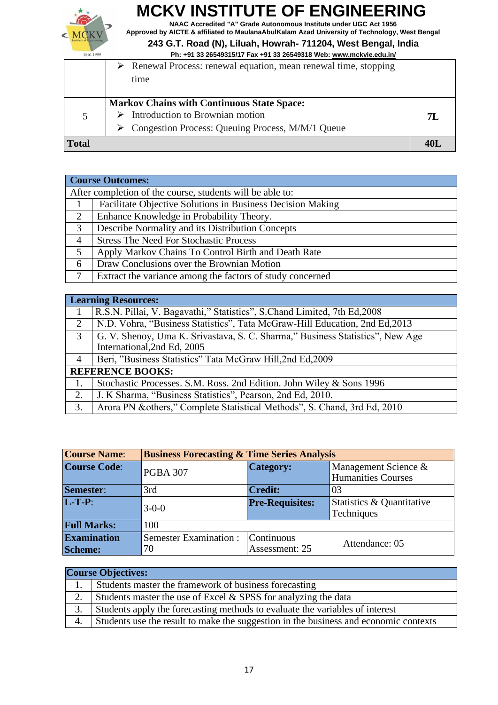

**NAAC Accredited "A" Grade Autonomous Institute under UGC Act 1956 Approved by AICTE & affiliated to MaulanaAbulKalam Azad University of Technology, West Bengal**

#### **243 G.T. Road (N), Liluah, Howrah- 711204, West Bengal, India**

| Estd.1999    | Ph: +91 33 26549315/17 Fax +91 33 26549318 Web: www.mckvie.edu.in/  |     |
|--------------|---------------------------------------------------------------------|-----|
|              | Renewal Process: renewal equation, mean renewal time, stopping<br>➤ |     |
|              | time                                                                |     |
|              |                                                                     |     |
|              | <b>Markov Chains with Continuous State Space:</b>                   |     |
| 5            | Introduction to Brownian motion                                     | 7L  |
|              | $\triangleright$ Congestion Process: Queuing Process, M/M/1 Queue   |     |
| <b>Total</b> |                                                                     | 40I |

|                | <b>Course Outcomes:</b>                                    |  |  |
|----------------|------------------------------------------------------------|--|--|
|                | After completion of the course, students will be able to:  |  |  |
|                | Facilitate Objective Solutions in Business Decision Making |  |  |
| 2              | Enhance Knowledge in Probability Theory.                   |  |  |
| 3              | Describe Normality and its Distribution Concepts           |  |  |
| $\overline{4}$ | <b>Stress The Need For Stochastic Process</b>              |  |  |
| 5              | Apply Markov Chains To Control Birth and Death Rate        |  |  |
| 6              | Draw Conclusions over the Brownian Motion                  |  |  |
|                | Extract the variance among the factors of study concerned  |  |  |

|                | <b>Learning Resources:</b>                                                    |
|----------------|-------------------------------------------------------------------------------|
|                | R.S.N. Pillai, V. Bagavathi," Statistics", S.Chand Limited, 7th Ed, 2008      |
| 2              | N.D. Vohra, "Business Statistics", Tata McGraw-Hill Education, 2nd Ed, 2013   |
| 3              | G. V. Shenoy, Uma K. Srivastava, S. C. Sharma," Business Statistics", New Age |
|                | International, 2nd Ed, 2005                                                   |
| $\overline{4}$ | Beri, "Business Statistics" Tata McGraw Hill, 2nd Ed, 2009                    |
|                | <b>REFERENCE BOOKS:</b>                                                       |
| 1.             | Stochastic Processes. S.M. Ross. 2nd Edition. John Wiley & Sons 1996          |
| 2.             | J. K Sharma, "Business Statistics", Pearson, 2nd Ed, 2010.                    |
| 3.             | Arora PN & others," Complete Statistical Methods", S. Chand, 3rd Ed, 2010     |

| <b>Course Name:</b>                  | <b>Business Forecasting &amp; Time Series Analysis</b> |                              |                                                   |  |
|--------------------------------------|--------------------------------------------------------|------------------------------|---------------------------------------------------|--|
| <b>Course Code:</b>                  | <b>PGBA 307</b>                                        | <b>Category:</b>             | Management Science &<br><b>Humanities Courses</b> |  |
| Semester:                            | 3rd                                                    | <b>Credit:</b>               | 03                                                |  |
| $L-T-P$ :                            | $3 - 0 - 0$                                            | <b>Pre-Requisites:</b>       | Statistics & Quantitative<br>Techniques           |  |
| <b>Full Marks:</b>                   | 100                                                    |                              |                                                   |  |
| <b>Examination</b><br><b>Scheme:</b> | <b>Semester Examination:</b><br>70                     | Continuous<br>Assessment: 25 | Attendance: 05                                    |  |
|                                      |                                                        |                              |                                                   |  |

| <b>Course Objectives:</b> |                                                                                      |  |
|---------------------------|--------------------------------------------------------------------------------------|--|
|                           | Students master the framework of business forecasting                                |  |
|                           | Students master the use of Excel & SPSS for analyzing the data                       |  |
| 3.                        | Students apply the forecasting methods to evaluate the variables of interest         |  |
| 4.                        | Students use the result to make the suggestion in the business and economic contexts |  |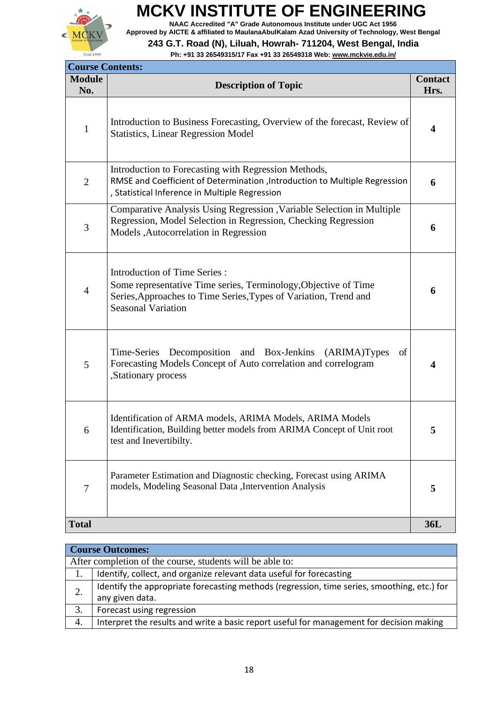

**NAAC Accredited "A" Grade Autonomous Institute under UGC Act 1956 Approved by AICTE & affiliated to MaulanaAbulKalam Azad University of Technology, West Bengal**

#### **243 G.T. Road (N), Liluah, Howrah- 711204, West Bengal, India**

**Ph: +91 33 26549315/17 Fax +91 33 26549318 Web[: www.mckvie.edu.in/](http://www.mckvie.edu.in/)**

| <b>Course Contents:</b> |                                                                                                                                                                                                         |                        |
|-------------------------|---------------------------------------------------------------------------------------------------------------------------------------------------------------------------------------------------------|------------------------|
| <b>Module</b><br>No.    | <b>Description of Topic</b>                                                                                                                                                                             | <b>Contact</b><br>Hrs. |
| $\mathbf{1}$            | Introduction to Business Forecasting, Overview of the forecast, Review of<br><b>Statistics, Linear Regression Model</b>                                                                                 | 4                      |
| $\overline{2}$          | Introduction to Forecasting with Regression Methods,<br>RMSE and Coefficient of Determination , Introduction to Multiple Regression<br>, Statistical Inference in Multiple Regression                   | 6                      |
| 3                       | Comparative Analysis Using Regression , Variable Selection in Multiple<br>Regression, Model Selection in Regression, Checking Regression<br>Models , Autocorrelation in Regression                      | 6                      |
| $\overline{4}$          | <b>Introduction of Time Series:</b><br>Some representative Time series, Terminology, Objective of Time<br>Series, Approaches to Time Series, Types of Variation, Trend and<br><b>Seasonal Variation</b> | 6                      |
| 5                       | Decomposition and Box-Jenkins (ARIMA)Types<br>Time-Series<br>of<br>Forecasting Models Concept of Auto correlation and correlogram<br>,Stationary process                                                | 4                      |
| 6                       | Identification of ARMA models, ARIMA Models, ARIMA Models<br>Identification, Building better models from ARIMA Concept of Unit root<br>test and Inevertibilty.                                          | 5                      |
| 7                       | Parameter Estimation and Diagnostic checking, Forecast using ARIMA<br>models, Modeling Seasonal Data , Intervention Analysis                                                                            | 5                      |
| <b>Total</b>            |                                                                                                                                                                                                         | 36L                    |

|    | <b>Course Outcomes:</b>                                                                     |  |  |
|----|---------------------------------------------------------------------------------------------|--|--|
|    | After completion of the course, students will be able to:                                   |  |  |
| 1. | Identify, collect, and organize relevant data useful for forecasting                        |  |  |
| 2. | Identify the appropriate forecasting methods (regression, time series, smoothing, etc.) for |  |  |
|    | any given data.                                                                             |  |  |
| 3. | Forecast using regression                                                                   |  |  |
| 4. | Interpret the results and write a basic report useful for management for decision making    |  |  |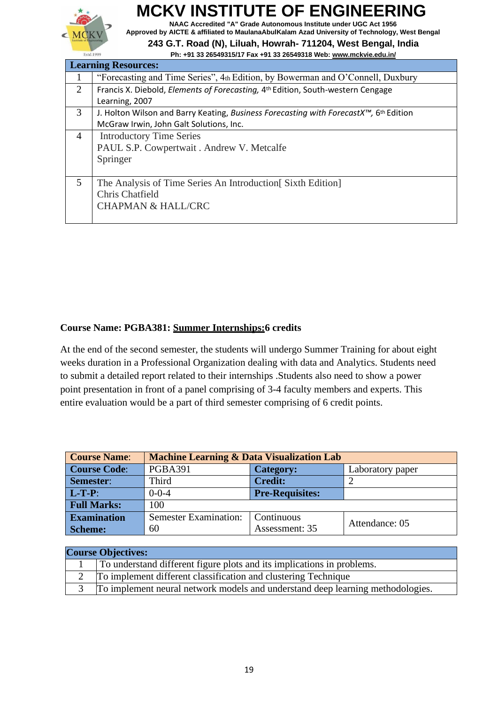

**NAAC Accredited "A" Grade Autonomous Institute under UGC Act 1956 Approved by AICTE & affiliated to MaulanaAbulKalam Azad University of Technology, West Bengal**

#### **243 G.T. Road (N), Liluah, Howrah- 711204, West Bengal, India Ph: +91 33 26549315/17 Fax +91 33 26549318 Web[: www.mckvie.edu.in/](http://www.mckvie.edu.in/)**

| <b>Learning Resources:</b> |                                                                                                     |  |
|----------------------------|-----------------------------------------------------------------------------------------------------|--|
| 1                          | "Forecasting and Time Series", 4th Edition, by Bowerman and O'Connell, Duxbury                      |  |
| 2                          | Francis X. Diebold, <i>Elements of Forecasting</i> , 4 <sup>th</sup> Edition, South-western Cengage |  |
|                            | Learning, 2007                                                                                      |  |
| 3                          | J. Holton Wilson and Barry Keating, Business Forecasting with ForecastX™, 6th Edition               |  |
|                            | McGraw Irwin, John Galt Solutions, Inc.                                                             |  |
| 4                          | <b>Introductory Time Series</b>                                                                     |  |
|                            | PAUL S.P. Cowpertwait . Andrew V. Metcalfe                                                          |  |
|                            | Springer                                                                                            |  |
|                            |                                                                                                     |  |
| 5                          | The Analysis of Time Series An Introduction Sixth Edition                                           |  |
|                            | Chris Chatfield                                                                                     |  |
|                            | <b>CHAPMAN &amp; HALL/CRC</b>                                                                       |  |
|                            |                                                                                                     |  |

#### **Course Name: PGBA381: Summer Internships:6 credits**

At the end of the second semester, the students will undergo Summer Training for about eight weeks duration in a Professional Organization dealing with data and Analytics. Students need to submit a detailed report related to their internships .Students also need to show a power point presentation in front of a panel comprising of 3-4 faculty members and experts. This entire evaluation would be a part of third semester comprising of 6 credit points.

| <b>Course Name:</b> | <b>Machine Learning &amp; Data Visualization Lab</b> |                        |                  |
|---------------------|------------------------------------------------------|------------------------|------------------|
| <b>Course Code:</b> | <b>PGBA391</b>                                       | <b>Category:</b>       | Laboratory paper |
| Semester:           | Third                                                | <b>Credit:</b>         |                  |
| $L-T-P$ :           | $0 - 0 - 4$                                          | <b>Pre-Requisites:</b> |                  |
| <b>Full Marks:</b>  | 100                                                  |                        |                  |
| <b>Examination</b>  | <b>Semester Examination:</b>                         | Continuous             | Attendance: 05   |
| Scheme:             | 60                                                   | Assessment: 35         |                  |

| <b>Course Objectives:</b> |                                                                                |  |
|---------------------------|--------------------------------------------------------------------------------|--|
|                           | To understand different figure plots and its implications in problems.         |  |
|                           | To implement different classification and clustering Technique                 |  |
|                           | To implement neural network models and understand deep learning methodologies. |  |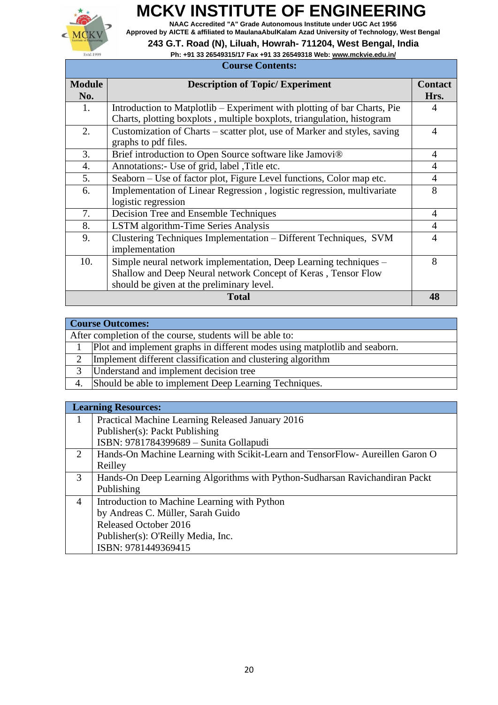

**NAAC Accredited "A" Grade Autonomous Institute under UGC Act 1956 Approved by AICTE & affiliated to MaulanaAbulKalam Azad University of Technology, West Bengal**

**243 G.T. Road (N), Liluah, Howrah- 711204, West Bengal, India**

#### **Ph: +91 33 26549315/17 Fax +91 33 26549318 Web[: www.mckvie.edu.in/](http://www.mckvie.edu.in/)**

| <b>Course Contents:</b> |                                                                                                                                                                                |                        |
|-------------------------|--------------------------------------------------------------------------------------------------------------------------------------------------------------------------------|------------------------|
| <b>Module</b><br>No.    | <b>Description of Topic/ Experiment</b>                                                                                                                                        | <b>Contact</b><br>Hrs. |
| 1.                      | Introduction to Matplotlib – Experiment with plotting of bar Charts, Pie<br>Charts, plotting boxplots, multiple boxplots, triangulation, histogram                             | 4                      |
| 2.                      | Customization of Charts – scatter plot, use of Marker and styles, saving<br>graphs to pdf files.                                                                               | $\overline{4}$         |
| 3.                      | Brief introduction to Open Source software like Jamovi®                                                                                                                        | 4                      |
| 4.                      | Annotations:- Use of grid, label , Title etc.                                                                                                                                  | $\overline{A}$         |
| 5.                      | Seaborn – Use of factor plot, Figure Level functions, Color map etc.                                                                                                           | 4                      |
| 6.                      | Implementation of Linear Regression, logistic regression, multivariate<br>logistic regression                                                                                  | 8                      |
| 7.                      | Decision Tree and Ensemble Techniques                                                                                                                                          | $\overline{4}$         |
| 8.                      | LSTM algorithm-Time Series Analysis                                                                                                                                            | $\overline{4}$         |
| 9.                      | Clustering Techniques Implementation – Different Techniques, SVM<br>implementation                                                                                             | 4                      |
| 10.                     | Simple neural network implementation, Deep Learning techniques –<br>Shallow and Deep Neural network Concept of Keras, Tensor Flow<br>should be given at the preliminary level. | 8                      |
|                         | <b>Total</b>                                                                                                                                                                   | 48                     |

|   | <b>Course Outcomes:</b>                                                    |  |  |
|---|----------------------------------------------------------------------------|--|--|
|   | After completion of the course, students will be able to:                  |  |  |
|   | Plot and implement graphs in different modes using matplot ib and seaborn. |  |  |
| 2 | Implement different classification and clustering algorithm                |  |  |
|   | Understand and implement decision tree                                     |  |  |
|   | Should be able to implement Deep Learning Techniques.                      |  |  |
|   |                                                                            |  |  |

|   | <b>Learning Resources:</b>                                                   |
|---|------------------------------------------------------------------------------|
| 1 | Practical Machine Learning Released January 2016                             |
|   | Publisher(s): Packt Publishing                                               |
|   | ISBN: 9781784399689 - Sunita Gollapudi                                       |
| 2 | Hands-On Machine Learning with Scikit-Learn and TensorFlow-Aureillen Garon O |
|   | Reilley                                                                      |
| 3 | Hands-On Deep Learning Algorithms with Python-Sudharsan Ravichandiran Packt  |
|   | Publishing                                                                   |
| 4 | Introduction to Machine Learning with Python                                 |
|   | by Andreas C. Müller, Sarah Guido                                            |
|   | <b>Released October 2016</b>                                                 |
|   | Publisher(s): O'Reilly Media, Inc.                                           |
|   | ISBN: 9781449369415                                                          |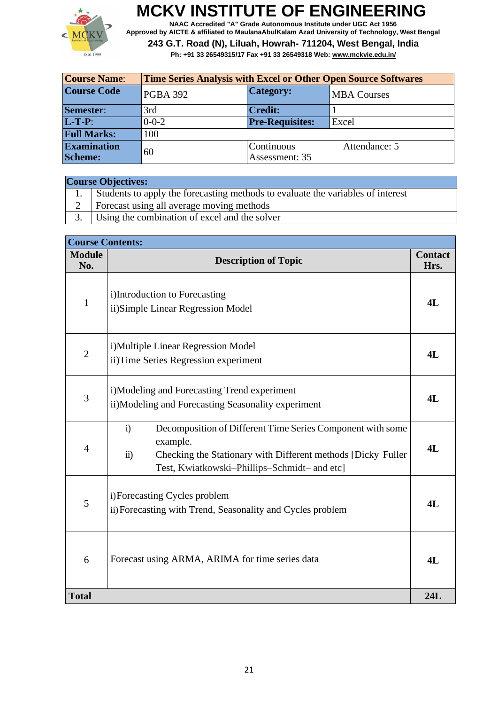

**NAAC Accredited "A" Grade Autonomous Institute under UGC Act 1956 Approved by AICTE & affiliated to MaulanaAbulKalam Azad University of Technology, West Bengal**

| <b>Course Name:</b>                  | <b>Time Series Analysis with Excel or Other Open Source Softwares</b> |                              |                    |
|--------------------------------------|-----------------------------------------------------------------------|------------------------------|--------------------|
| <b>Course Code</b>                   | <b>PGBA 392</b>                                                       | <b>Category:</b>             | <b>MBA Courses</b> |
| Semester:                            | 3rd                                                                   | <b>Credit:</b>               |                    |
| $L-T-P$ :                            | $0 - 0 - 2$                                                           | <b>Pre-Requisites:</b>       | Excel              |
| <b>Full Marks:</b>                   | 100                                                                   |                              |                    |
| <b>Examination</b><br><b>Scheme:</b> | 60                                                                    | Continuous<br>Assessment: 35 | Attendance: 5      |

| <b>Course Objectives:</b> |                                                                                 |  |
|---------------------------|---------------------------------------------------------------------------------|--|
|                           | Students to apply the forecasting methods to evaluate the variables of interest |  |
| $\overline{2}$            | Forecast using all average moving methods                                       |  |
|                           | Using the combination of excel and the solver                                   |  |

| <b>Course Contents:</b> |                                                                                                                                                                                                                     |                        |
|-------------------------|---------------------------------------------------------------------------------------------------------------------------------------------------------------------------------------------------------------------|------------------------|
| <b>Module</b><br>No.    | <b>Description of Topic</b>                                                                                                                                                                                         | <b>Contact</b><br>Hrs. |
| $\mathbf{1}$            | i)Introduction to Forecasting<br>ii)Simple Linear Regression Model                                                                                                                                                  | 4L                     |
| $\overline{2}$          | i)Multiple Linear Regression Model<br>ii) Time Series Regression experiment                                                                                                                                         | 4L                     |
| $\mathfrak{Z}$          | i)Modeling and Forecasting Trend experiment<br>ii)Modeling and Forecasting Seasonality experiment                                                                                                                   | 4L                     |
| 4                       | Decomposition of Different Time Series Component with some<br>i)<br>example.<br>$\ddot{\textbf{i}}$<br>Checking the Stationary with Different methods [Dicky Fuller<br>Test, Kwiatkowski-Phillips-Schmidt- and etc] | 4L                     |
| 5                       | i) Forecasting Cycles problem<br>ii) Forecasting with Trend, Seasonality and Cycles problem                                                                                                                         | 4L                     |
| 6                       | Forecast using ARMA, ARIMA for time series data                                                                                                                                                                     | 4L                     |
| <b>Total</b>            |                                                                                                                                                                                                                     | 24L                    |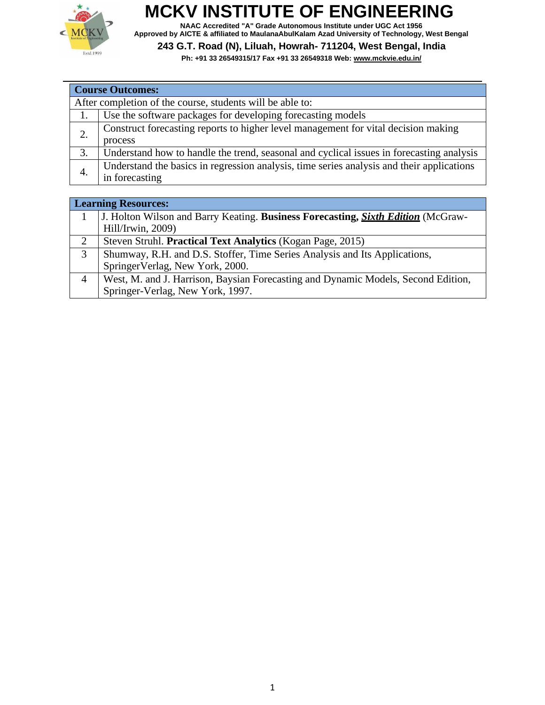

**NAAC Accredited "A" Grade Autonomous Institute under UGC Act 1956 Approved by AICTE & affiliated to MaulanaAbulKalam Azad University of Technology, West Bengal**

#### **243 G.T. Road (N), Liluah, Howrah- 711204, West Bengal, India**

**Ph: +91 33 26549315/17 Fax +91 33 26549318 Web[: www.mckvie.edu.in/](http://www.mckvie.edu.in/)**

| <b>Course Outcomes:</b> |                                                                                           |  |  |
|-------------------------|-------------------------------------------------------------------------------------------|--|--|
|                         | After completion of the course, students will be able to:                                 |  |  |
| 1.                      | Use the software packages for developing forecasting models                               |  |  |
| 2.                      | Construct forecasting reports to higher level management for vital decision making        |  |  |
|                         | process                                                                                   |  |  |
| 3.                      | Understand how to handle the trend, seasonal and cyclical issues in forecasting analysis  |  |  |
| 4.                      | Understand the basics in regression analysis, time series analysis and their applications |  |  |
|                         | in forecasting                                                                            |  |  |

|   | <b>Learning Resources:</b>                                                              |  |  |
|---|-----------------------------------------------------------------------------------------|--|--|
|   | J. Holton Wilson and Barry Keating. Business Forecasting, <i>Sixth Edition</i> (McGraw- |  |  |
|   | Hill/Irwin, 2009)                                                                       |  |  |
| 2 | Steven Struhl. Practical Text Analytics (Kogan Page, 2015)                              |  |  |
| 3 | Shumway, R.H. and D.S. Stoffer, Time Series Analysis and Its Applications,              |  |  |
|   | SpringerVerlag, New York, 2000.                                                         |  |  |
| 4 | West, M. and J. Harrison, Baysian Forecasting and Dynamic Models, Second Edition,       |  |  |
|   | Springer-Verlag, New York, 1997.                                                        |  |  |
|   |                                                                                         |  |  |